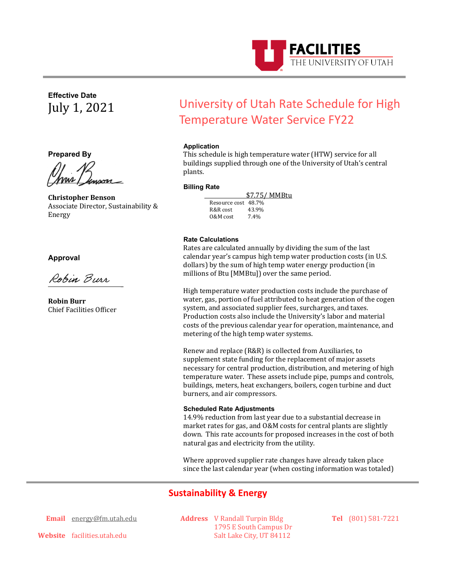

**Effective Date** July 1, 2021

**Prepared By**

<u>Mour / Janson</u>

**Christopher Benson** Associate Director, Sustainability & Energy

**Approval** 

\_

**Robin Burr** Chief Facilities Officer

# University of Utah Rate Schedule for High Temperature Water Service FY22

## **Application**

This schedule is high temperature water (HTW) service for all buildings supplied through one of the University of Utah's central plants.

#### **Billing Rate**

 $\frac{$7.75}{8}$  MMBtu<br>Resource cost 48.7%<br>R&R cost 43.9% R&R cost 43.9%<br>0&M cost 7.4% 0&M cost

### **Rate Calculations**

Rates are calculated annually by dividing the sum of the last calendar year's campus high temp water production costs (in U.S. dollars) by the sum of high temp water energy production (in millions of Btu [MMBtu]) over the same period.

High temperature water production costs include the purchase of water, gas, portion of fuel attributed to heat generation of the cogen system, and associated supplier fees, surcharges, and taxes. Production costs also include the University's labor and material costs of the previous calendar year for operation, maintenance, and metering of the high temp water systems.

Renew and replace (R&R) is collected from Auxiliaries, to supplement state funding for the replacement of major assets necessary for central production, distribution, and metering of high temperature water. These assets include pipe, pumps and controls, buildings, meters, heat exchangers, boilers, cogen turbine and duct burners, and air compressors.

#### **Scheduled Rate Adjustments**

14.9% reduction from last year due to a substantial decrease in market rates for gas, and O&M costs for central plants are slightly down. This rate accounts for proposed increases in the cost of both natural gas and electricity from the utility.

Where approved supplier rate changes have already taken place since the last calendar year (when costing information was totaled)

# **Sustainability & Energy**

**Email** energy@fm.utah.edu

**Address** V Randall Turpin Bldg 1795 E South Campus Dr Salt Lake City, UT 84112

**Tel** (801) 581-7221

**Website** facilities.utah.edu